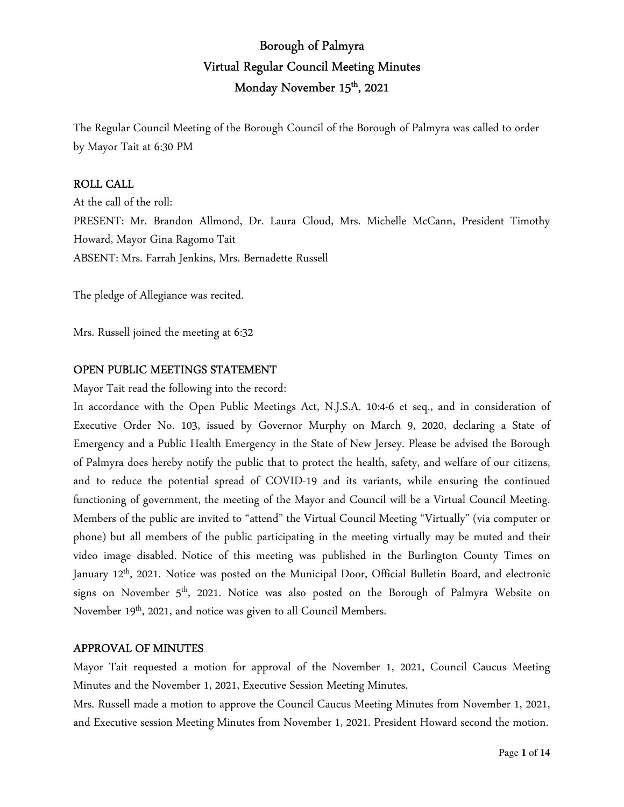# Borough of Palmyra Virtual Regular Council Meeting Minutes Monday November 15<sup>th</sup>, 2021

The Regular Council Meeting of the Borough Council of the Borough of Palmyra was called to order by Mayor Tait at 6:30 PM

### ROLL CALL

At the call of the roll: PRESENT: Mr. Brandon Allmond, Dr. Laura Cloud, Mrs. Michelle McCann, President Timothy Howard, Mayor Gina Ragomo Tait ABSENT: Mrs. Farrah Jenkins, Mrs. Bernadette Russell

The pledge of Allegiance was recited.

Mrs. Russell joined the meeting at 6:32

### OPEN PUBLIC MEETINGS STATEMENT

Mayor Tait read the following into the record:

In accordance with the Open Public Meetings Act, N.J.S.A. 10:4-6 et seq., and in consideration of Executive Order No. 103, issued by Governor Murphy on March 9, 2020, declaring a State of Emergency and a Public Health Emergency in the State of New Jersey. Please be advised the Borough of Palmyra does hereby notify the public that to protect the health, safety, and welfare of our citizens, and to reduce the potential spread of COVID-19 and its variants, while ensuring the continued functioning of government, the meeting of the Mayor and Council will be a Virtual Council Meeting. Members of the public are invited to "attend" the Virtual Council Meeting "Virtually" (via computer or phone) but all members of the public participating in the meeting virtually may be muted and their video image disabled. Notice of this meeting was published in the Burlington County Times on January 12<sup>th</sup>, 2021. Notice was posted on the Municipal Door, Official Bulletin Board, and electronic signs on November  $5<sup>th</sup>$ , 2021. Notice was also posted on the Borough of Palmyra Website on November 19<sup>th</sup>, 2021, and notice was given to all Council Members.

#### APPROVAL OF MINUTES

Mayor Tait requested a motion for approval of the November 1, 2021, Council Caucus Meeting Minutes and the November 1, 2021, Executive Session Meeting Minutes.

Mrs. Russell made a motion to approve the Council Caucus Meeting Minutes from November 1, 2021, and Executive session Meeting Minutes from November 1, 2021. President Howard second the motion.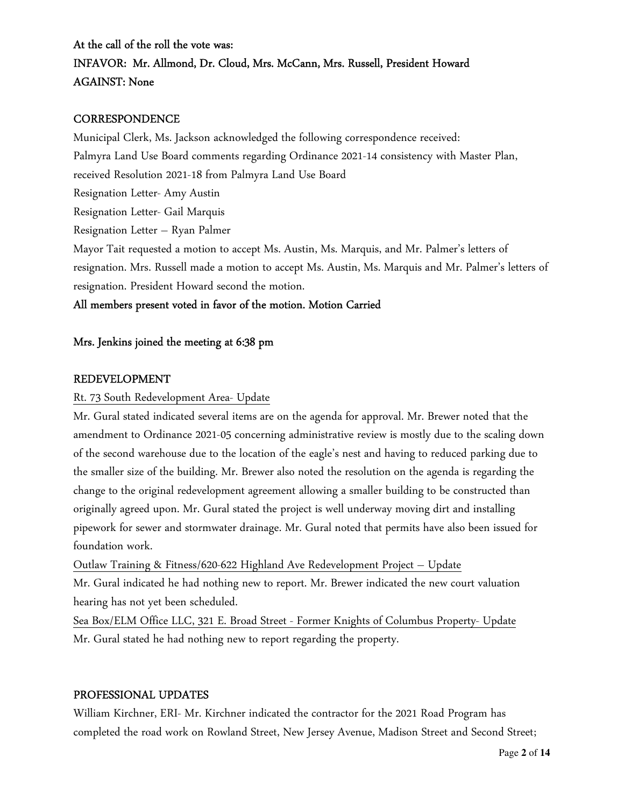At the call of the roll the vote was: INFAVOR: Mr. Allmond, Dr. Cloud, Mrs. McCann, Mrs. Russell, President Howard AGAINST: None

#### **CORRESPONDENCE**

Municipal Clerk, Ms. Jackson acknowledged the following correspondence received: Palmyra Land Use Board comments regarding Ordinance 2021-14 consistency with Master Plan, received Resolution 2021-18 from Palmyra Land Use Board Resignation Letter- Amy Austin Resignation Letter- Gail Marquis Resignation Letter – Ryan Palmer Mayor Tait requested a motion to accept Ms. Austin, Ms. Marquis, and Mr. Palmer's letters of resignation. Mrs. Russell made a motion to accept Ms. Austin, Ms. Marquis and Mr. Palmer's letters of resignation. President Howard second the motion.

#### All members present voted in favor of the motion. Motion Carried

#### Mrs. Jenkins joined the meeting at 6:38 pm

#### REDEVELOPMENT

#### Rt. 73 South Redevelopment Area- Update

Mr. Gural stated indicated several items are on the agenda for approval. Mr. Brewer noted that the amendment to Ordinance 2021-05 concerning administrative review is mostly due to the scaling down of the second warehouse due to the location of the eagle's nest and having to reduced parking due to the smaller size of the building. Mr. Brewer also noted the resolution on the agenda is regarding the change to the original redevelopment agreement allowing a smaller building to be constructed than originally agreed upon. Mr. Gural stated the project is well underway moving dirt and installing pipework for sewer and stormwater drainage. Mr. Gural noted that permits have also been issued for foundation work.

Outlaw Training & Fitness/620-622 Highland Ave Redevelopment Project – Update Mr. Gural indicated he had nothing new to report. Mr. Brewer indicated the new court valuation hearing has not yet been scheduled.

Sea Box/ELM Office LLC, 321 E. Broad Street - Former Knights of Columbus Property- Update Mr. Gural stated he had nothing new to report regarding the property.

#### PROFESSIONAL UPDATES

William Kirchner, ERI- Mr. Kirchner indicated the contractor for the 2021 Road Program has completed the road work on Rowland Street, New Jersey Avenue, Madison Street and Second Street;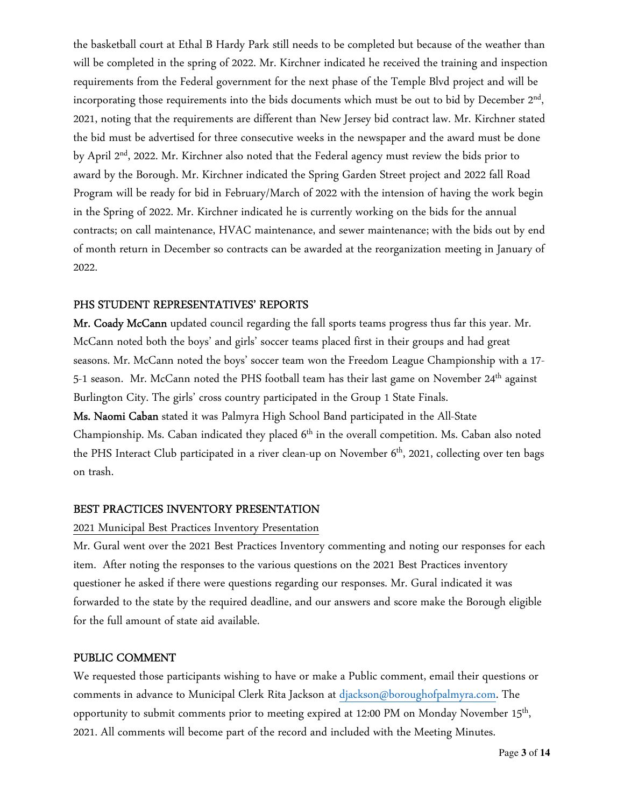the basketball court at Ethal B Hardy Park still needs to be completed but because of the weather than will be completed in the spring of 2022. Mr. Kirchner indicated he received the training and inspection requirements from the Federal government for the next phase of the Temple Blvd project and will be incorporating those requirements into the bids documents which must be out to bid by December  $2^{\text{nd}}$ , 2021, noting that the requirements are different than New Jersey bid contract law. Mr. Kirchner stated the bid must be advertised for three consecutive weeks in the newspaper and the award must be done by April 2<sup>nd</sup>, 2022. Mr. Kirchner also noted that the Federal agency must review the bids prior to award by the Borough. Mr. Kirchner indicated the Spring Garden Street project and 2022 fall Road Program will be ready for bid in February/March of 2022 with the intension of having the work begin in the Spring of 2022. Mr. Kirchner indicated he is currently working on the bids for the annual contracts; on call maintenance, HVAC maintenance, and sewer maintenance; with the bids out by end of month return in December so contracts can be awarded at the reorganization meeting in January of 2022.

### PHS STUDENT REPRESENTATIVES' REPORTS

Mr. Coady McCann updated council regarding the fall sports teams progress thus far this year. Mr. McCann noted both the boys' and girls' soccer teams placed first in their groups and had great seasons. Mr. McCann noted the boys' soccer team won the Freedom League Championship with a 17- 5-1 season. Mr. McCann noted the PHS football team has their last game on November 24<sup>th</sup> against Burlington City. The girls' cross country participated in the Group 1 State Finals. Ms. Naomi Caban stated it was Palmyra High School Band participated in the All-State

Championship. Ms. Caban indicated they placed  $6<sup>th</sup>$  in the overall competition. Ms. Caban also noted the PHS Interact Club participated in a river clean-up on November 6<sup>th</sup>, 2021, collecting over ten bags on trash.

#### BEST PRACTICES INVENTORY PRESENTATION

#### 2021 Municipal Best Practices Inventory Presentation

Mr. Gural went over the 2021 Best Practices Inventory commenting and noting our responses for each item. After noting the responses to the various questions on the 2021 Best Practices inventory questioner he asked if there were questions regarding our responses. Mr. Gural indicated it was forwarded to the state by the required deadline, and our answers and score make the Borough eligible for the full amount of state aid available.

#### PUBLIC COMMENT

We requested those participants wishing to have or make a Public comment, email their questions or comments in advance to Municipal Clerk Rita Jackson at djackson@boroughofpalmyra.com. The opportunity to submit comments prior to meeting expired at 12:00 PM on Monday November  $15^{\rm th}$ , 2021. All comments will become part of the record and included with the Meeting Minutes.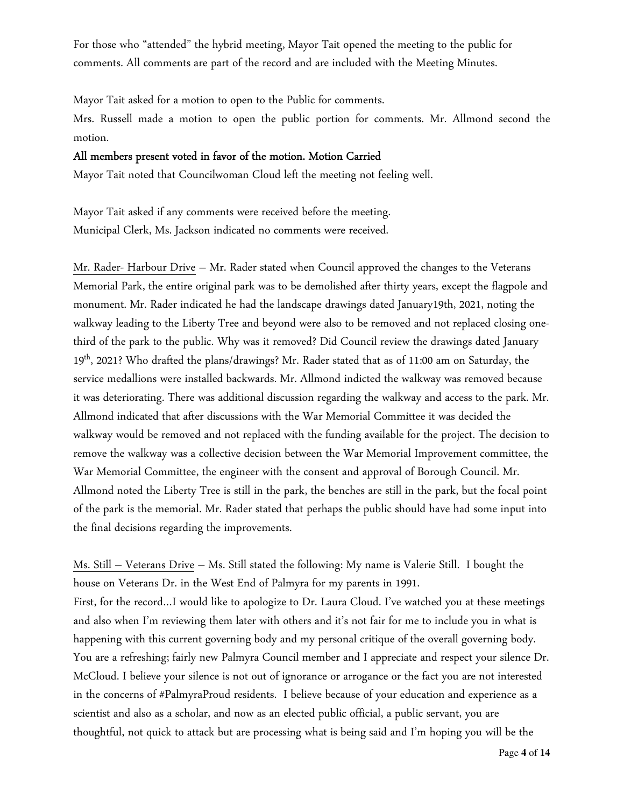For those who "attended" the hybrid meeting, Mayor Tait opened the meeting to the public for comments. All comments are part of the record and are included with the Meeting Minutes.

Mayor Tait asked for a motion to open to the Public for comments.

Mrs. Russell made a motion to open the public portion for comments. Mr. Allmond second the motion.

#### All members present voted in favor of the motion. Motion Carried

Mayor Tait noted that Councilwoman Cloud left the meeting not feeling well.

Mayor Tait asked if any comments were received before the meeting. Municipal Clerk, Ms. Jackson indicated no comments were received.

Mr. Rader- Harbour Drive – Mr. Rader stated when Council approved the changes to the Veterans Memorial Park, the entire original park was to be demolished after thirty years, except the flagpole and monument. Mr. Rader indicated he had the landscape drawings dated January19th, 2021, noting the walkway leading to the Liberty Tree and beyond were also to be removed and not replaced closing onethird of the park to the public. Why was it removed? Did Council review the drawings dated January 19th, 2021? Who drafted the plans/drawings? Mr. Rader stated that as of 11:00 am on Saturday, the service medallions were installed backwards. Mr. Allmond indicted the walkway was removed because it was deteriorating. There was additional discussion regarding the walkway and access to the park. Mr. Allmond indicated that after discussions with the War Memorial Committee it was decided the walkway would be removed and not replaced with the funding available for the project. The decision to remove the walkway was a collective decision between the War Memorial Improvement committee, the War Memorial Committee, the engineer with the consent and approval of Borough Council. Mr. Allmond noted the Liberty Tree is still in the park, the benches are still in the park, but the focal point of the park is the memorial. Mr. Rader stated that perhaps the public should have had some input into the final decisions regarding the improvements.

Ms. Still – Veterans Drive – Ms. Still stated the following: My name is Valerie Still. I bought the house on Veterans Dr. in the West End of Palmyra for my parents in 1991. First, for the record…I would like to apologize to Dr. Laura Cloud. I've watched you at these meetings and also when I'm reviewing them later with others and it's not fair for me to include you in what is happening with this current governing body and my personal critique of the overall governing body. You are a refreshing; fairly new Palmyra Council member and I appreciate and respect your silence Dr. McCloud. I believe your silence is not out of ignorance or arrogance or the fact you are not interested in the concerns of #PalmyraProud residents. I believe because of your education and experience as a scientist and also as a scholar, and now as an elected public official, a public servant, you are thoughtful, not quick to attack but are processing what is being said and I'm hoping you will be the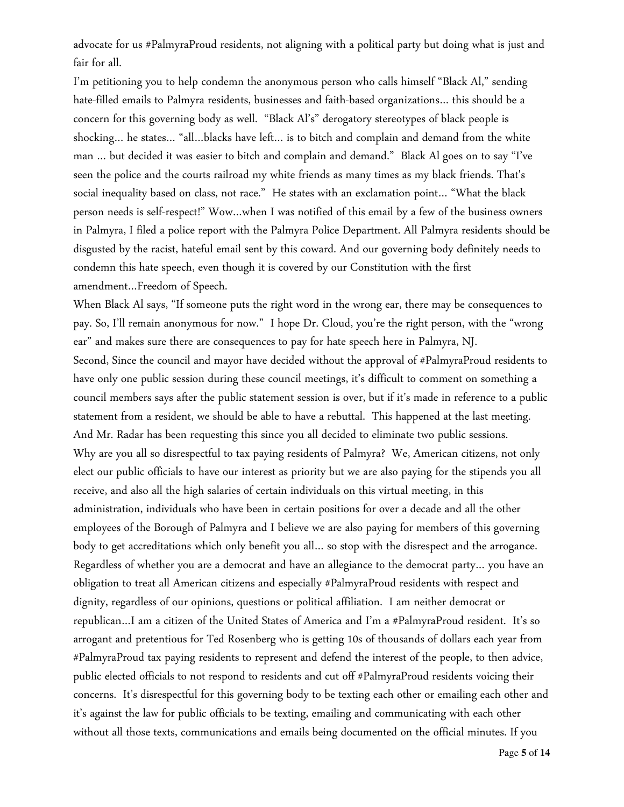advocate for us #PalmyraProud residents, not aligning with a political party but doing what is just and fair for all.

I'm petitioning you to help condemn the anonymous person who calls himself "Black Al," sending hate-filled emails to Palmyra residents, businesses and faith-based organizations… this should be a concern for this governing body as well. "Black Al's" derogatory stereotypes of black people is shocking… he states… "all…blacks have left… is to bitch and complain and demand from the white man … but decided it was easier to bitch and complain and demand." Black Al goes on to say "I've seen the police and the courts railroad my white friends as many times as my black friends. That's social inequality based on class, not race." He states with an exclamation point… "What the black person needs is self-respect!" Wow…when I was notified of this email by a few of the business owners in Palmyra, I filed a police report with the Palmyra Police Department. All Palmyra residents should be disgusted by the racist, hateful email sent by this coward. And our governing body definitely needs to condemn this hate speech, even though it is covered by our Constitution with the first amendment…Freedom of Speech.

When Black Al says, "If someone puts the right word in the wrong ear, there may be consequences to pay. So, I'll remain anonymous for now." I hope Dr. Cloud, you're the right person, with the "wrong ear" and makes sure there are consequences to pay for hate speech here in Palmyra, NJ. Second, Since the council and mayor have decided without the approval of #PalmyraProud residents to have only one public session during these council meetings, it's difficult to comment on something a council members says after the public statement session is over, but if it's made in reference to a public statement from a resident, we should be able to have a rebuttal. This happened at the last meeting. And Mr. Radar has been requesting this since you all decided to eliminate two public sessions. Why are you all so disrespectful to tax paying residents of Palmyra? We, American citizens, not only elect our public officials to have our interest as priority but we are also paying for the stipends you all receive, and also all the high salaries of certain individuals on this virtual meeting, in this administration, individuals who have been in certain positions for over a decade and all the other employees of the Borough of Palmyra and I believe we are also paying for members of this governing body to get accreditations which only benefit you all… so stop with the disrespect and the arrogance. Regardless of whether you are a democrat and have an allegiance to the democrat party… you have an obligation to treat all American citizens and especially #PalmyraProud residents with respect and dignity, regardless of our opinions, questions or political affiliation. I am neither democrat or republican…I am a citizen of the United States of America and I'm a #PalmyraProud resident. It's so arrogant and pretentious for Ted Rosenberg who is getting 10s of thousands of dollars each year from #PalmyraProud tax paying residents to represent and defend the interest of the people, to then advice, public elected officials to not respond to residents and cut off #PalmyraProud residents voicing their concerns. It's disrespectful for this governing body to be texting each other or emailing each other and it's against the law for public officials to be texting, emailing and communicating with each other without all those texts, communications and emails being documented on the official minutes. If you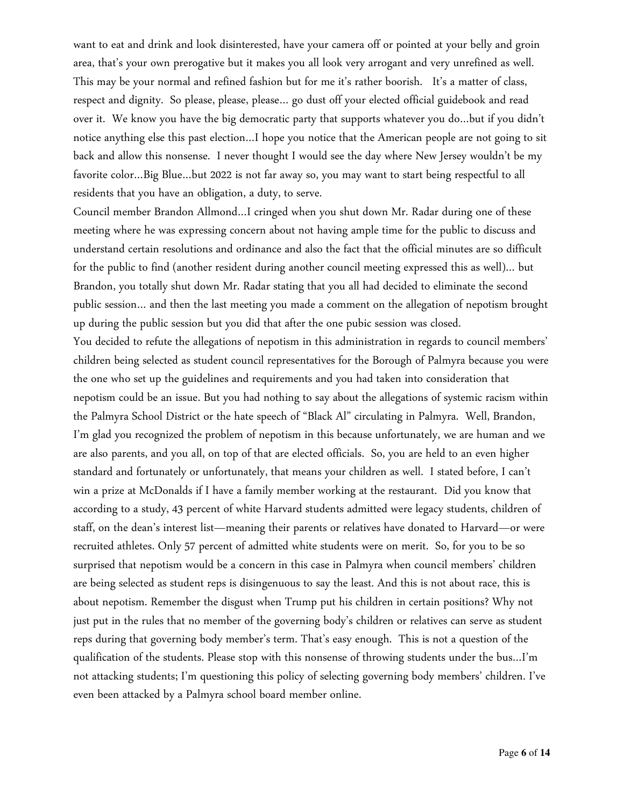want to eat and drink and look disinterested, have your camera off or pointed at your belly and groin area, that's your own prerogative but it makes you all look very arrogant and very unrefined as well. This may be your normal and refined fashion but for me it's rather boorish. It's a matter of class, respect and dignity. So please, please, please… go dust off your elected official guidebook and read over it. We know you have the big democratic party that supports whatever you do…but if you didn't notice anything else this past election…I hope you notice that the American people are not going to sit back and allow this nonsense. I never thought I would see the day where New Jersey wouldn't be my favorite color…Big Blue…but 2022 is not far away so, you may want to start being respectful to all residents that you have an obligation, a duty, to serve.

Council member Brandon Allmond…I cringed when you shut down Mr. Radar during one of these meeting where he was expressing concern about not having ample time for the public to discuss and understand certain resolutions and ordinance and also the fact that the official minutes are so difficult for the public to find (another resident during another council meeting expressed this as well)… but Brandon, you totally shut down Mr. Radar stating that you all had decided to eliminate the second public session… and then the last meeting you made a comment on the allegation of nepotism brought up during the public session but you did that after the one pubic session was closed.

You decided to refute the allegations of nepotism in this administration in regards to council members' children being selected as student council representatives for the Borough of Palmyra because you were the one who set up the guidelines and requirements and you had taken into consideration that nepotism could be an issue. But you had nothing to say about the allegations of systemic racism within the Palmyra School District or the hate speech of "Black Al" circulating in Palmyra. Well, Brandon, I'm glad you recognized the problem of nepotism in this because unfortunately, we are human and we are also parents, and you all, on top of that are elected officials. So, you are held to an even higher standard and fortunately or unfortunately, that means your children as well. I stated before, I can't win a prize at McDonalds if I have a family member working at the restaurant. Did you know that according to a study, 43 percent of white Harvard students admitted were legacy students, children of staff, on the dean's interest list—meaning their parents or relatives have donated to Harvard—or were recruited athletes. Only 57 percent of admitted white students were on merit. So, for you to be so surprised that nepotism would be a concern in this case in Palmyra when council members' children are being selected as student reps is disingenuous to say the least. And this is not about race, this is about nepotism. Remember the disgust when Trump put his children in certain positions? Why not just put in the rules that no member of the governing body's children or relatives can serve as student reps during that governing body member's term. That's easy enough. This is not a question of the qualification of the students. Please stop with this nonsense of throwing students under the bus…I'm not attacking students; I'm questioning this policy of selecting governing body members' children. I've even been attacked by a Palmyra school board member online.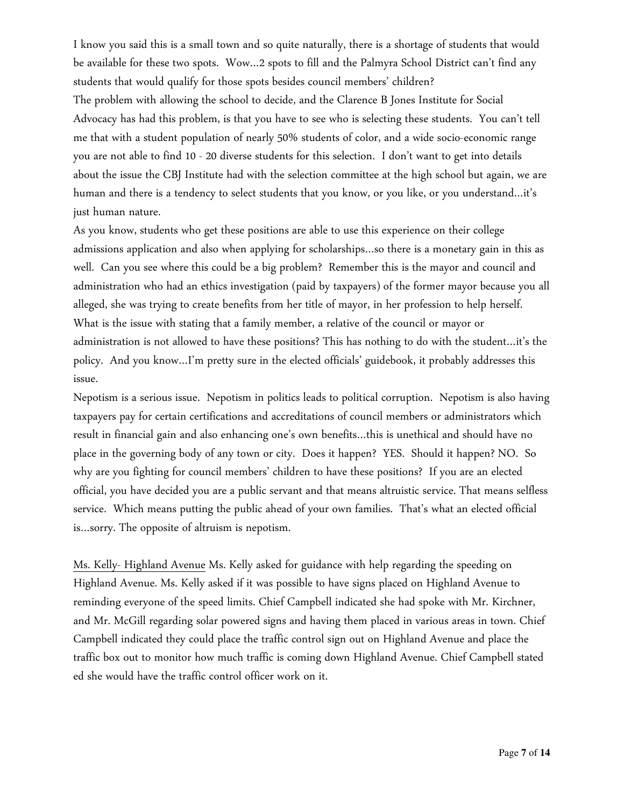I know you said this is a small town and so quite naturally, there is a shortage of students that would be available for these two spots. Wow…2 spots to fill and the Palmyra School District can't find any students that would qualify for those spots besides council members' children?

The problem with allowing the school to decide, and the Clarence B Jones Institute for Social Advocacy has had this problem, is that you have to see who is selecting these students. You can't tell me that with a student population of nearly 50% students of color, and a wide socio-economic range you are not able to find 10 - 20 diverse students for this selection. I don't want to get into details about the issue the CBJ Institute had with the selection committee at the high school but again, we are human and there is a tendency to select students that you know, or you like, or you understand...it's just human nature.

As you know, students who get these positions are able to use this experience on their college admissions application and also when applying for scholarships…so there is a monetary gain in this as well. Can you see where this could be a big problem? Remember this is the mayor and council and administration who had an ethics investigation (paid by taxpayers) of the former mayor because you all alleged, she was trying to create benefits from her title of mayor, in her profession to help herself. What is the issue with stating that a family member, a relative of the council or mayor or administration is not allowed to have these positions? This has nothing to do with the student…it's the policy. And you know…I'm pretty sure in the elected officials' guidebook, it probably addresses this issue.

Nepotism is a serious issue. Nepotism in politics leads to political corruption. Nepotism is also having taxpayers pay for certain certifications and accreditations of council members or administrators which result in financial gain and also enhancing one's own benefits…this is unethical and should have no place in the governing body of any town or city. Does it happen? YES. Should it happen? NO. So why are you fighting for council members' children to have these positions? If you are an elected official, you have decided you are a public servant and that means altruistic service. That means selfless service. Which means putting the public ahead of your own families. That's what an elected official is…sorry. The opposite of altruism is nepotism.

Ms. Kelly- Highland Avenue Ms. Kelly asked for guidance with help regarding the speeding on Highland Avenue. Ms. Kelly asked if it was possible to have signs placed on Highland Avenue to reminding everyone of the speed limits. Chief Campbell indicated she had spoke with Mr. Kirchner, and Mr. McGill regarding solar powered signs and having them placed in various areas in town. Chief Campbell indicated they could place the traffic control sign out on Highland Avenue and place the traffic box out to monitor how much traffic is coming down Highland Avenue. Chief Campbell stated ed she would have the traffic control officer work on it.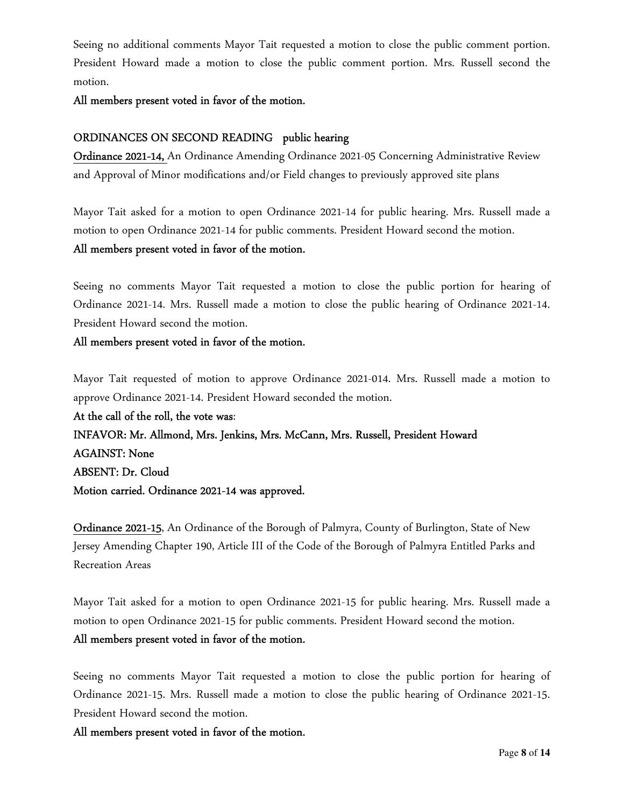Seeing no additional comments Mayor Tait requested a motion to close the public comment portion. President Howard made a motion to close the public comment portion. Mrs. Russell second the motion.

All members present voted in favor of the motion.

### ORDINANCES ON SECOND READING public hearing

Ordinance 2021-14, An Ordinance Amending Ordinance 2021-05 Concerning Administrative Review and Approval of Minor modifications and/or Field changes to previously approved site plans

Mayor Tait asked for a motion to open Ordinance 2021-14 for public hearing. Mrs. Russell made a motion to open Ordinance 2021-14 for public comments. President Howard second the motion.

### All members present voted in favor of the motion.

Seeing no comments Mayor Tait requested a motion to close the public portion for hearing of Ordinance 2021-14. Mrs. Russell made a motion to close the public hearing of Ordinance 2021-14. President Howard second the motion.

### All members present voted in favor of the motion.

Mayor Tait requested of motion to approve Ordinance 2021-014. Mrs. Russell made a motion to approve Ordinance 2021-14. President Howard seconded the motion.

At the call of the roll, the vote was: INFAVOR: Mr. Allmond, Mrs. Jenkins, Mrs. McCann, Mrs. Russell, President Howard AGAINST: None ABSENT: Dr. Cloud Motion carried. Ordinance 2021-14 was approved.

Ordinance 2021-15, An Ordinance of the Borough of Palmyra, County of Burlington, State of New Jersey Amending Chapter 190, Article III of the Code of the Borough of Palmyra Entitled Parks and Recreation Areas

Mayor Tait asked for a motion to open Ordinance 2021-15 for public hearing. Mrs. Russell made a motion to open Ordinance 2021-15 for public comments. President Howard second the motion. All members present voted in favor of the motion.

Seeing no comments Mayor Tait requested a motion to close the public portion for hearing of Ordinance 2021-15. Mrs. Russell made a motion to close the public hearing of Ordinance 2021-15. President Howard second the motion.

All members present voted in favor of the motion.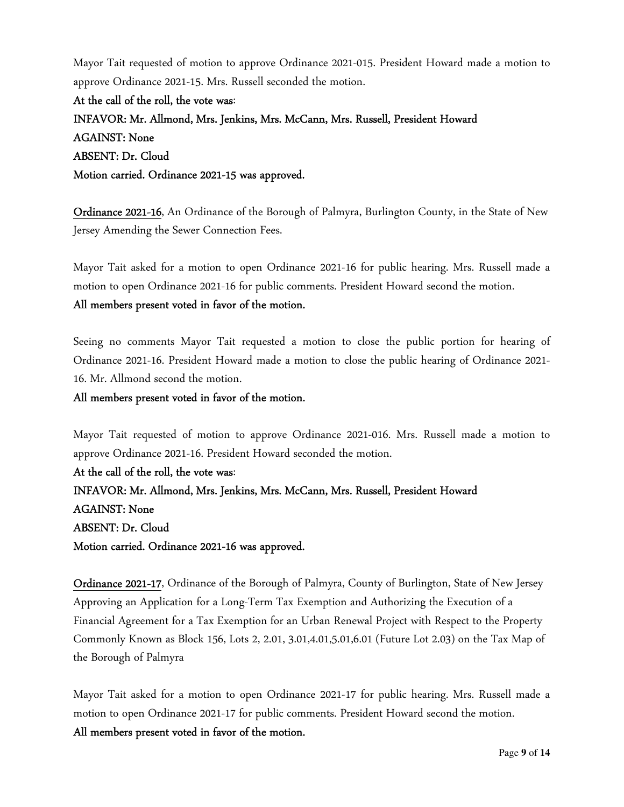Mayor Tait requested of motion to approve Ordinance 2021-015. President Howard made a motion to approve Ordinance 2021-15. Mrs. Russell seconded the motion.

At the call of the roll, the vote was: INFAVOR: Mr. Allmond, Mrs. Jenkins, Mrs. McCann, Mrs. Russell, President Howard AGAINST: None ABSENT: Dr. Cloud Motion carried. Ordinance 2021-15 was approved.

Ordinance 2021-16, An Ordinance of the Borough of Palmyra, Burlington County, in the State of New Jersey Amending the Sewer Connection Fees.

Mayor Tait asked for a motion to open Ordinance 2021-16 for public hearing. Mrs. Russell made a motion to open Ordinance 2021-16 for public comments. President Howard second the motion. All members present voted in favor of the motion.

Seeing no comments Mayor Tait requested a motion to close the public portion for hearing of Ordinance 2021-16. President Howard made a motion to close the public hearing of Ordinance 2021- 16. Mr. Allmond second the motion.

All members present voted in favor of the motion.

Mayor Tait requested of motion to approve Ordinance 2021-016. Mrs. Russell made a motion to approve Ordinance 2021-16. President Howard seconded the motion.

At the call of the roll, the vote was: INFAVOR: Mr. Allmond, Mrs. Jenkins, Mrs. McCann, Mrs. Russell, President Howard AGAINST: None ABSENT: Dr. Cloud Motion carried. Ordinance 2021-16 was approved.

Ordinance 2021-17, Ordinance of the Borough of Palmyra, County of Burlington, State of New Jersey Approving an Application for a Long-Term Tax Exemption and Authorizing the Execution of a Financial Agreement for a Tax Exemption for an Urban Renewal Project with Respect to the Property Commonly Known as Block 156, Lots 2, 2.01, 3.01,4.01,5.01,6.01 (Future Lot 2.03) on the Tax Map of the Borough of Palmyra

Mayor Tait asked for a motion to open Ordinance 2021-17 for public hearing. Mrs. Russell made a motion to open Ordinance 2021-17 for public comments. President Howard second the motion.

All members present voted in favor of the motion.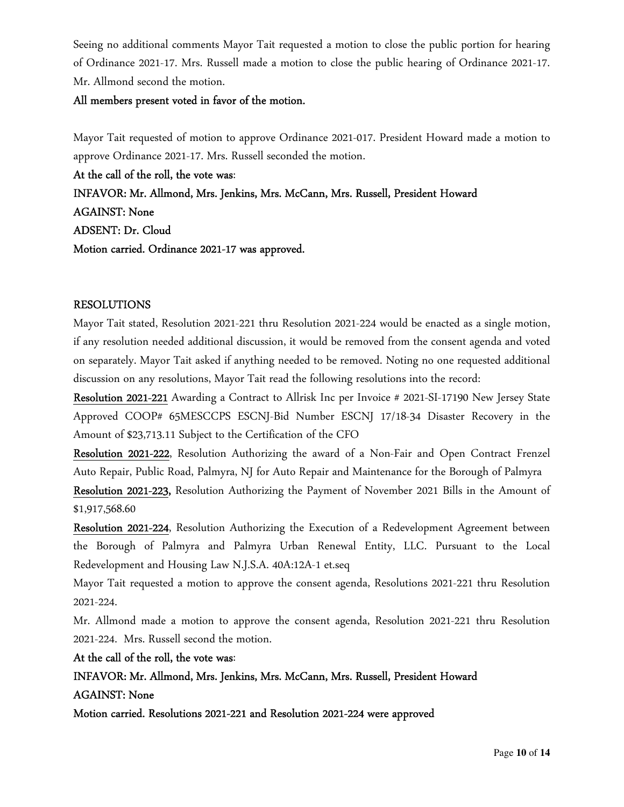Seeing no additional comments Mayor Tait requested a motion to close the public portion for hearing of Ordinance 2021-17. Mrs. Russell made a motion to close the public hearing of Ordinance 2021-17. Mr. Allmond second the motion.

### All members present voted in favor of the motion.

Mayor Tait requested of motion to approve Ordinance 2021-017. President Howard made a motion to approve Ordinance 2021-17. Mrs. Russell seconded the motion.

At the call of the roll, the vote was: INFAVOR: Mr. Allmond, Mrs. Jenkins, Mrs. McCann, Mrs. Russell, President Howard AGAINST: None ADSENT: Dr. Cloud Motion carried. Ordinance 2021-17 was approved.

### RESOLUTIONS

Mayor Tait stated, Resolution 2021-221 thru Resolution 2021-224 would be enacted as a single motion, if any resolution needed additional discussion, it would be removed from the consent agenda and voted on separately. Mayor Tait asked if anything needed to be removed. Noting no one requested additional discussion on any resolutions, Mayor Tait read the following resolutions into the record:

Resolution 2021-221 Awarding a Contract to Allrisk Inc per Invoice # 2021-SI-17190 New Jersey State Approved COOP# 65MESCCPS ESCNJ-Bid Number ESCNJ 17/18-34 Disaster Recovery in the Amount of \$23,713.11 Subject to the Certification of the CFO

Resolution 2021-222, Resolution Authorizing the award of a Non-Fair and Open Contract Frenzel Auto Repair, Public Road, Palmyra, NJ for Auto Repair and Maintenance for the Borough of Palmyra

Resolution 2021-223, Resolution Authorizing the Payment of November 2021 Bills in the Amount of \$1,917,568.60

Resolution 2021-224, Resolution Authorizing the Execution of a Redevelopment Agreement between the Borough of Palmyra and Palmyra Urban Renewal Entity, LLC. Pursuant to the Local Redevelopment and Housing Law N.J.S.A. 40A:12A-1 et.seq

Mayor Tait requested a motion to approve the consent agenda, Resolutions 2021-221 thru Resolution 2021-224.

Mr. Allmond made a motion to approve the consent agenda, Resolution 2021-221 thru Resolution 2021-224. Mrs. Russell second the motion.

At the call of the roll, the vote was:

INFAVOR: Mr. Allmond, Mrs. Jenkins, Mrs. McCann, Mrs. Russell, President Howard AGAINST: None

Motion carried. Resolutions 2021-221 and Resolution 2021-224 were approved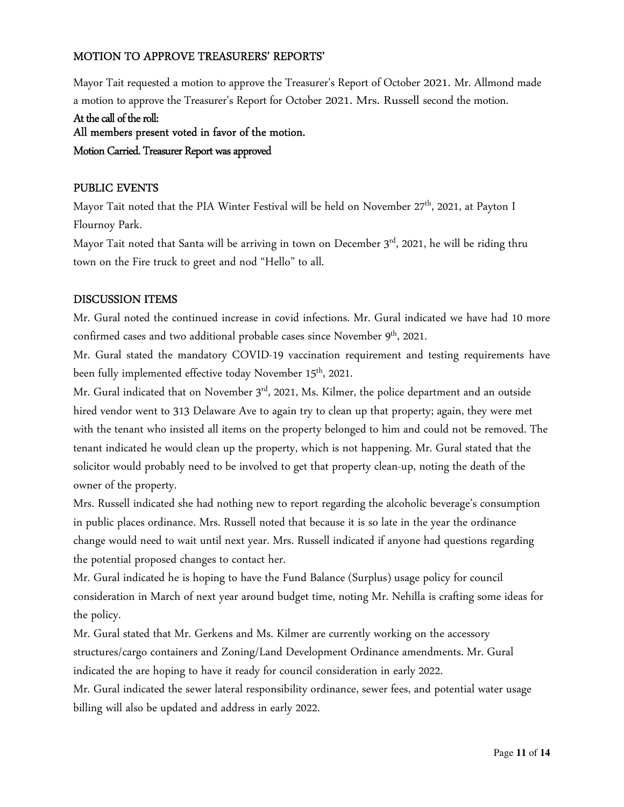### MOTION TO APPROVE TREASURERS' REPORTS'

Mayor Tait requested a motion to approve the Treasurer's Report of October 2021. Mr. Allmond made a motion to approve the Treasurer's Report for October 2021. Mrs. Russell second the motion.

# At the call of the roll: All members present voted in favor of the motion. Motion Carried. Treasurer Report was approved

### PUBLIC EVENTS

Mayor Tait noted that the PIA Winter Festival will be held on November 27<sup>th</sup>, 2021, at Payton I Flournoy Park.

Mayor Tait noted that Santa will be arriving in town on December 3<sup>rd</sup>, 2021, he will be riding thru town on the Fire truck to greet and nod "Hello" to all.

### DISCUSSION ITEMS

Mr. Gural noted the continued increase in covid infections. Mr. Gural indicated we have had 10 more confirmed cases and two additional probable cases since November 9<sup>th</sup>, 2021.

Mr. Gural stated the mandatory COVID-19 vaccination requirement and testing requirements have been fully implemented effective today November 15th, 2021.

Mr. Gural indicated that on November 3<sup>rd</sup>, 2021, Ms. Kilmer, the police department and an outside hired vendor went to 313 Delaware Ave to again try to clean up that property; again, they were met with the tenant who insisted all items on the property belonged to him and could not be removed. The tenant indicated he would clean up the property, which is not happening. Mr. Gural stated that the solicitor would probably need to be involved to get that property clean-up, noting the death of the owner of the property.

Mrs. Russell indicated she had nothing new to report regarding the alcoholic beverage's consumption in public places ordinance. Mrs. Russell noted that because it is so late in the year the ordinance change would need to wait until next year. Mrs. Russell indicated if anyone had questions regarding the potential proposed changes to contact her.

Mr. Gural indicated he is hoping to have the Fund Balance (Surplus) usage policy for council consideration in March of next year around budget time, noting Mr. Nehilla is crafting some ideas for the policy.

Mr. Gural stated that Mr. Gerkens and Ms. Kilmer are currently working on the accessory structures/cargo containers and Zoning/Land Development Ordinance amendments. Mr. Gural indicated the are hoping to have it ready for council consideration in early 2022.

Mr. Gural indicated the sewer lateral responsibility ordinance, sewer fees, and potential water usage billing will also be updated and address in early 2022.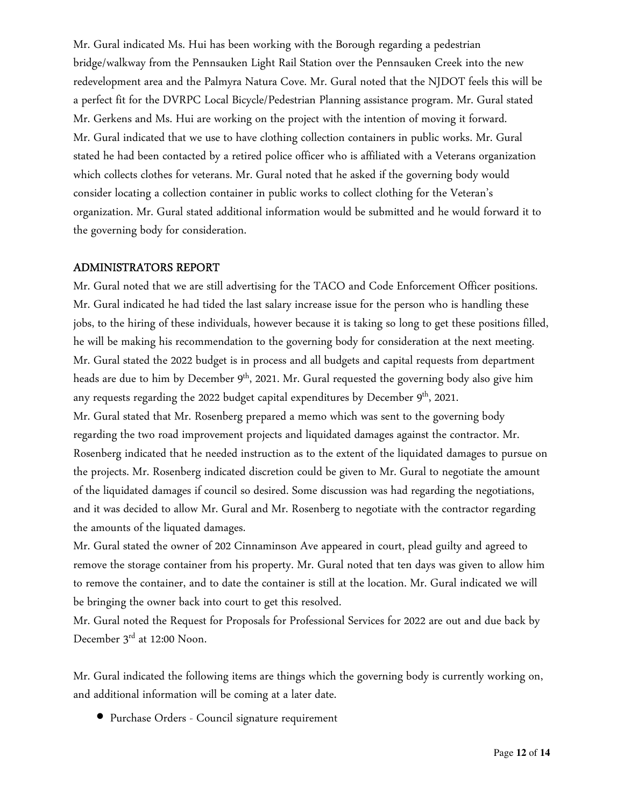Mr. Gural indicated Ms. Hui has been working with the Borough regarding a pedestrian bridge/walkway from the Pennsauken Light Rail Station over the Pennsauken Creek into the new redevelopment area and the Palmyra Natura Cove. Mr. Gural noted that the NJDOT feels this will be a perfect fit for the DVRPC Local Bicycle/Pedestrian Planning assistance program. Mr. Gural stated Mr. Gerkens and Ms. Hui are working on the project with the intention of moving it forward. Mr. Gural indicated that we use to have clothing collection containers in public works. Mr. Gural stated he had been contacted by a retired police officer who is affiliated with a Veterans organization which collects clothes for veterans. Mr. Gural noted that he asked if the governing body would consider locating a collection container in public works to collect clothing for the Veteran's organization. Mr. Gural stated additional information would be submitted and he would forward it to the governing body for consideration.

#### ADMINISTRATORS REPORT

Mr. Gural noted that we are still advertising for the TACO and Code Enforcement Officer positions. Mr. Gural indicated he had tided the last salary increase issue for the person who is handling these jobs, to the hiring of these individuals, however because it is taking so long to get these positions filled, he will be making his recommendation to the governing body for consideration at the next meeting. Mr. Gural stated the 2022 budget is in process and all budgets and capital requests from department heads are due to him by December 9<sup>th</sup>, 2021. Mr. Gural requested the governing body also give him any requests regarding the 2022 budget capital expenditures by December  $9<sup>th</sup>$ , 2021. Mr. Gural stated that Mr. Rosenberg prepared a memo which was sent to the governing body regarding the two road improvement projects and liquidated damages against the contractor. Mr. Rosenberg indicated that he needed instruction as to the extent of the liquidated damages to pursue on the projects. Mr. Rosenberg indicated discretion could be given to Mr. Gural to negotiate the amount of the liquidated damages if council so desired. Some discussion was had regarding the negotiations, and it was decided to allow Mr. Gural and Mr. Rosenberg to negotiate with the contractor regarding the amounts of the liquated damages.

Mr. Gural stated the owner of 202 Cinnaminson Ave appeared in court, plead guilty and agreed to remove the storage container from his property. Mr. Gural noted that ten days was given to allow him to remove the container, and to date the container is still at the location. Mr. Gural indicated we will be bringing the owner back into court to get this resolved.

Mr. Gural noted the Request for Proposals for Professional Services for 2022 are out and due back by December 3<sup>rd</sup> at 12:00 Noon.

Mr. Gural indicated the following items are things which the governing body is currently working on, and additional information will be coming at a later date.

• Purchase Orders - Council signature requirement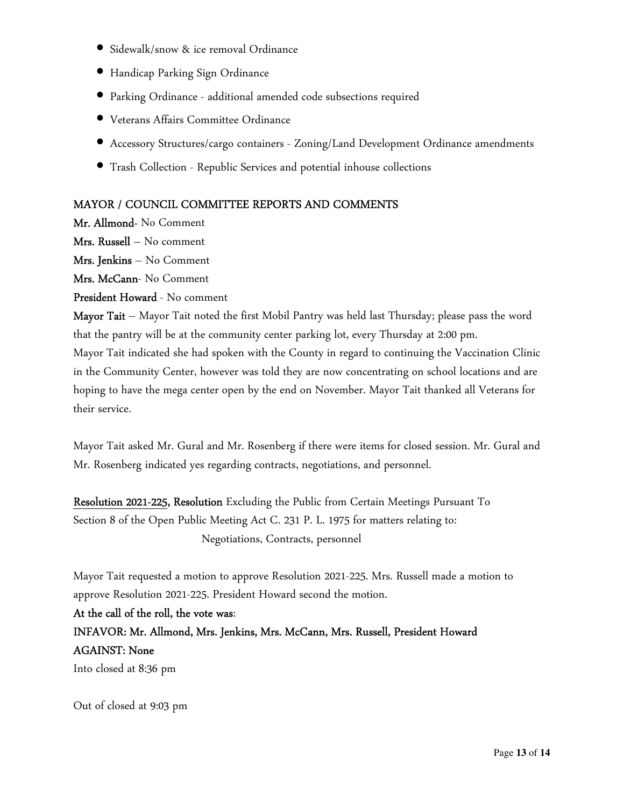- Sidewalk/snow & ice removal Ordinance
- Handicap Parking Sign Ordinance
- Parking Ordinance additional amended code subsections required
- Veterans Affairs Committee Ordinance
- Accessory Structures/cargo containers Zoning/Land Development Ordinance amendments
- Trash Collection Republic Services and potential inhouse collections

### MAYOR / COUNCIL COMMITTEE REPORTS AND COMMENTS

Mr. Allmond- No Comment

Mrs. Russell – No comment

Mrs. Jenkins – No Comment

Mrs. McCann- No Comment

President Howard - No comment

Mayor Tait – Mayor Tait noted the first Mobil Pantry was held last Thursday; please pass the word that the pantry will be at the community center parking lot, every Thursday at 2:00 pm. Mayor Tait indicated she had spoken with the County in regard to continuing the Vaccination Clinic in the Community Center, however was told they are now concentrating on school locations and are hoping to have the mega center open by the end on November. Mayor Tait thanked all Veterans for their service.

Mayor Tait asked Mr. Gural and Mr. Rosenberg if there were items for closed session. Mr. Gural and Mr. Rosenberg indicated yes regarding contracts, negotiations, and personnel.

Resolution 2021-225, Resolution Excluding the Public from Certain Meetings Pursuant To Section 8 of the Open Public Meeting Act C. 231 P. L. 1975 for matters relating to: Negotiations, Contracts, personnel

Mayor Tait requested a motion to approve Resolution 2021-225. Mrs. Russell made a motion to approve Resolution 2021-225. President Howard second the motion.

At the call of the roll, the vote was:

INFAVOR: Mr. Allmond, Mrs. Jenkins, Mrs. McCann, Mrs. Russell, President Howard AGAINST: None

Into closed at 8:36 pm

Out of closed at 9:03 pm